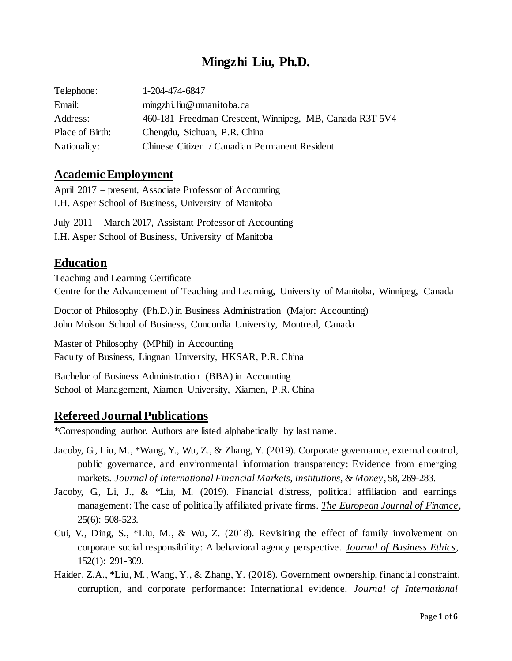# **Mingzhi Liu, Ph.D.**

| Telephone:      | 1-204-474-6847                                          |
|-----------------|---------------------------------------------------------|
| Email:          | mingzhi.liu@umanitoba.ca                                |
| Address:        | 460-181 Freedman Crescent, Winnipeg, MB, Canada R3T 5V4 |
| Place of Birth: | Chengdu, Sichuan, P.R. China                            |
| Nationality:    | Chinese Citizen / Canadian Permanent Resident           |

#### **Academic Employment**

April 2017 – present, Associate Professor of Accounting I.H. Asper School of Business, University of Manitoba

July 2011 – March 2017, Assistant Professor of Accounting I.H. Asper School of Business, University of Manitoba

# **Education**

Teaching and Learning Certificate Centre for the Advancement of Teaching and Learning, University of Manitoba, Winnipeg, Canada

Doctor of Philosophy (Ph.D.) in Business Administration (Major: Accounting) John Molson School of Business, Concordia University, Montreal, Canada

Master of Philosophy (MPhil) in Accounting Faculty of Business, Lingnan University, HKSAR, P.R. China

Bachelor of Business Administration (BBA) in Accounting School of Management, Xiamen University, Xiamen, P.R. China

## **Refereed Journal Publications**

\*Corresponding author. Authors are listed alphabetically by last name.

- Jacoby, G., Liu, M., \*Wang, Y., Wu, Z., & Zhang, Y. (2019). Corporate governance, external control, public governance, and environmental information transparency: Evidence from emerging markets. *Journal of International Financial Markets, Institutions, & Money*, 58, 269-283.
- Jacoby, G., Li, J., & \*Liu, M. (2019). Financial distress, political affiliation and earnings management: The case of politically affiliated private firms. *The European Journal of Finance*, 25(6): 508-523.
- Cui, V., Ding, S., \*Liu, M., & Wu, Z. (2018). Revisiting the effect of family involvement on corporate social responsibility: A behavioral agency perspective. *Journal of Business Ethics*, 152(1): 291-309.
- Haider, Z.A., \*Liu, M., Wang, Y., & Zhang, Y. (2018). Government ownership, financial constraint, corruption, and corporate performance: International evidence. *Journal of International*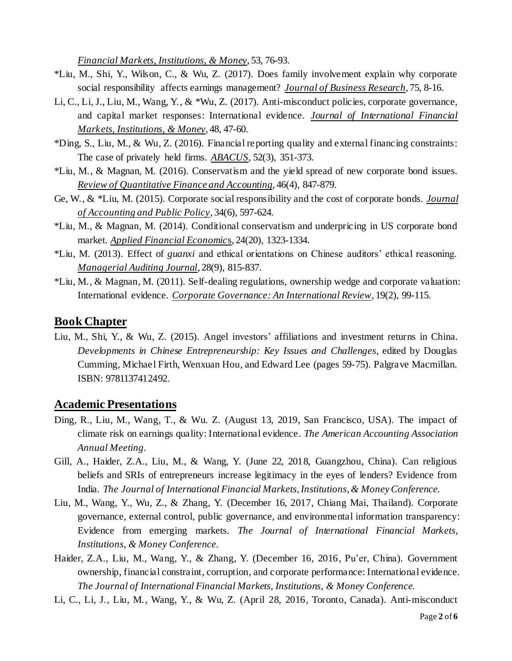*Financial Markets, Institutions, & Money*, 53, 76-93.

- \*Liu, M., Shi, Y., Wilson, C., & Wu, Z. (2017). Does family involvement explain why corporate social responsibility affects earnings management? *Journal of Business Research*, 75, 8-16.
- Li, C., Li, J., Liu, M., Wang, Y., & \*Wu, Z. (2017). Anti-misconduct policies, corporate governance, and capital market responses: International evidence. *Journal of International Financial Markets, Institutions, & Money*, 48, 47-60.
- \*Ding, S., Liu, M., & Wu, Z. (2016). Financial reporting quality and external financing constraints: The case of privately held firms. *ABACUS*, 52(3), 351-373.
- \*Liu, M., & Magnan, M. (2016). Conservatism and the yield spread of new corporate bond issues. *Review of Quantitative Finance and Accounting*, 46(4), 847-879.
- Ge, W., & \*Liu, M. (2015). Corporate social responsibility and the cost of corporate bonds. *Journal of Accounting and Public Policy*, 34(6), 597-624.
- \*Liu, M., & Magnan, M. (2014). Conditional conservatism and underpricing in US corporate bond market. *Applied Financial Economic*s, 24(20), 1323-1334.
- \*Liu, M. (2013). Effect of *guanxi* and ethical orientations on Chinese auditors' ethical reasoning. *Managerial Auditing Journal*, 28(9), 815-837.
- \*Liu, M., & Magnan, M. (2011). Self-dealing regulations, ownership wedge and corporate valuation: International evidence. *Corporate Governance: An International Review*, 19(2), 99-115.

#### **Book Chapter**

Liu, M., Shi, Y., & Wu, Z. (2015). Angel investors' affiliations and investment returns in China. *Developments in Chinese Entrepreneurship: Key Issues and Challenges,* edited by Douglas Cumming, Michael Firth, Wenxuan Hou, and Edward Lee (pages 59-75). Palgrave Macmillan. ISBN: 9781137412492.

#### **Academic Presentations**

- Ding, R., Liu, M., Wang, T., & Wu. Z. (August 13, 2019, San Francisco, USA). The impact of climate risk on earnings quality: International evidence. *The American Accounting Association Annual Meeting.*
- Gill, A., Haider, Z.A., Liu, M., & Wang, Y. (June 22, 2018, Guangzhou, China). Can religious beliefs and SRIs of entrepreneurs increase legitimacy in the eyes of lenders? Evidence from India. *The Journal of International Financial Markets, Institutions, & Money Conference.*
- Liu, M., Wang, Y., Wu, Z., & Zhang, Y. (December 16, 2017, Chiang Mai, Thailand). Corporate governance, external control, public governance, and environmental information transparency: Evidence from emerging markets. *The Journal of International Financial Markets, Institutions, & Money Conference.*
- Haider, Z.A., Liu, M., Wang, Y., & Zhang, Y. (December 16, 2016, Pu'er, China). Government ownership, financial constraint, corruption, and corporate performance: International evidence. *The Journal of International Financial Markets, Institutions, & Money Conference.*
- Li, C., Li, J., Liu, M., Wang, Y., & Wu, Z. (April 28, 2016, Toronto, Canada). Anti-misconduct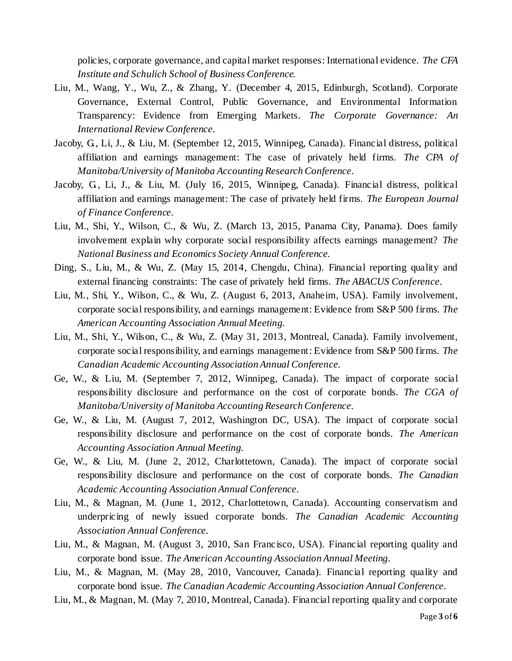policies, corporate governance, and capital market responses: International evidence. *The CFA Institute and Schulich School of Business Conference.*

- Liu, M., Wang, Y., Wu, Z., & Zhang, Y. (December 4, 2015, Edinburgh, Scotland). Corporate Governance, External Control, Public Governance, and Environmental Information Transparency: Evidence from Emerging Markets. *The Corporate Governance: An International Review Conference.*
- Jacoby, G., Li, J., & Liu, M. (September 12, 2015, Winnipeg, Canada). Financial distress, political affiliation and earnings management: The case of privately held firms. *The CPA of Manitoba/University of Manitoba Accounting Research Conference.*
- Jacoby, G., Li, J., & Liu, M. (July 16, 2015, Winnipeg, Canada). Financial distress, political affiliation and earnings management: The case of privately held firms. *The European Journal of Finance Conference.*
- Liu, M., Shi, Y., Wilson, C., & Wu, Z. (March 13, 2015, Panama City, Panama). Does family involvement explain why corporate social responsibility affects earnings management? *The National Business and Economics Society Annual Conference.*
- Ding, S., Liu, M., & Wu, Z. (May 15, 2014, Chengdu, China). Financial reporting quality and external financing constraints: The case of privately held firms. *The ABACUS Conference.*
- Liu, M., Shi, Y., Wilson, C., & Wu, Z. (August 6, 2013, Anaheim, USA). Family involvement, corporate social responsibility, and earnings management: Evidence from S&P 500 firms. *The American Accounting Association Annual Meeting.*
- Liu, M., Shi, Y., Wilson, C., & Wu, Z. (May 31, 2013, Montreal, Canada). Family involvement, corporate social responsibility, and earnings management: Evidence from S&P 500 firms. *The Canadian Academic Accounting Association Annual Conference.*
- Ge, W., & Liu, M. (September 7, 2012, Winnipeg, Canada). The impact of corporate social responsibility disclosure and performance on the cost of corporate bonds. *The CGA of Manitoba/University of Manitoba Accounting Research Conference.*
- Ge, W., & Liu, M. (August 7, 2012, Washington DC, USA). The impact of corporate social responsibility disclosure and performance on the cost of corporate bonds. *The American Accounting Association Annual Meeting.*
- Ge, W., & Liu, M. (June 2, 2012, Charlottetown, Canada). The impact of corporate social responsibility disclosure and performance on the cost of corporate bonds. *The Canadian Academic Accounting Association Annual Conference.*
- Liu, M., & Magnan, M. (June 1, 2012, Charlottetown, Canada). Accounting conservatism and underpricing of newly issued corporate bonds. *The Canadian Academic Accounting Association Annual Conference.*
- Liu, M., & Magnan, M. (August 3, 2010, San Francisco, USA). Financial reporting quality and corporate bond issue. *The American Accounting Association Annual Meeting.*
- Liu, M., & Magnan, M. (May 28, 2010, Vancouver, Canada). Financial reporting quality and corporate bond issue. *The Canadian Academic Accounting Association Annual Conference.*
- Liu, M., & Magnan, M. (May 7, 2010, Montreal, Canada). Financial reporting quality and corporate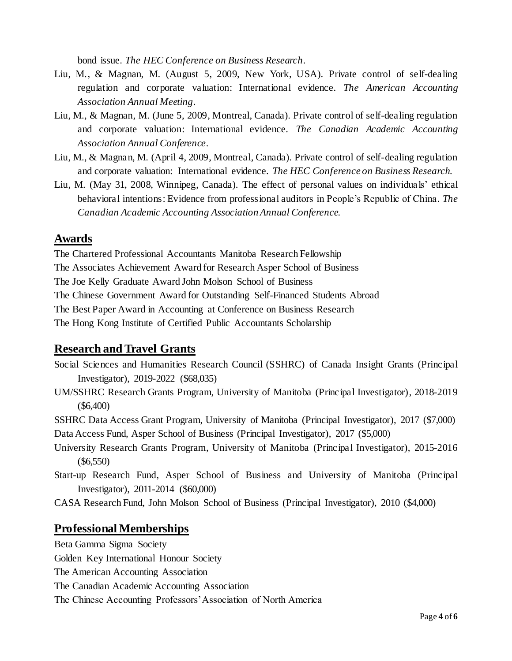bond issue. *The HEC Conference on Business Research.*

- Liu, M., & Magnan, M. (August 5, 2009, New York, USA). Private control of self-dealing regulation and corporate valuation: International evidence. *The American Accounting Association Annual Meeting.*
- Liu, M., & Magnan, M. (June 5, 2009, Montreal, Canada). Private control of self-dealing regulation and corporate valuation: International evidence. *The Canadian Academic Accounting Association Annual Conference.*
- Liu, M., & Magnan, M. (April 4, 2009, Montreal, Canada). Private control of self-dealing regulation and corporate valuation: International evidence. *The HEC Conference on Business Research.*
- Liu, M. (May 31, 2008, Winnipeg, Canada). The effect of personal values on individuals' ethical behavioral intentions: Evidence from professional auditors in People's Republic of China. *The Canadian Academic Accounting Association Annual Conference.*

#### **Awards**

The Chartered Professional Accountants Manitoba Research Fellowship The Associates Achievement Award for Research Asper School of Business The Joe Kelly Graduate Award John Molson School of Business The Chinese Government Award for Outstanding Self-Financed Students Abroad The Best Paper Award in Accounting at Conference on Business Research The Hong Kong Institute of Certified Public Accountants Scholarship

## **Research and Travel Grants**

- Social Sciences and Humanities Research Council (SSHRC) of Canada Insight Grants (Principal Investigator), 2019-2022 (\$68,035)
- UM/SSHRC Research Grants Program, University of Manitoba (Principal Investigator), 2018-2019 (\$6,400)

SSHRC Data Access Grant Program, University of Manitoba (Principal Investigator), 2017 (\$7,000) Data Access Fund, Asper School of Business (Principal Investigator), 2017 (\$5,000)

- University Research Grants Program, University of Manitoba (Principal Investigator), 2015-2016 (\$6,550)
- Start-up Research Fund, Asper School of Business and University of Manitoba (Principal Investigator), 2011-2014 (\$60,000)
- CASA Research Fund, John Molson School of Business (Principal Investigator), 2010 (\$4,000)

## **Professional Memberships**

Beta Gamma Sigma Society

Golden Key International Honour Society

The American Accounting Association

The Canadian Academic Accounting Association

The Chinese Accounting Professors' Association of North America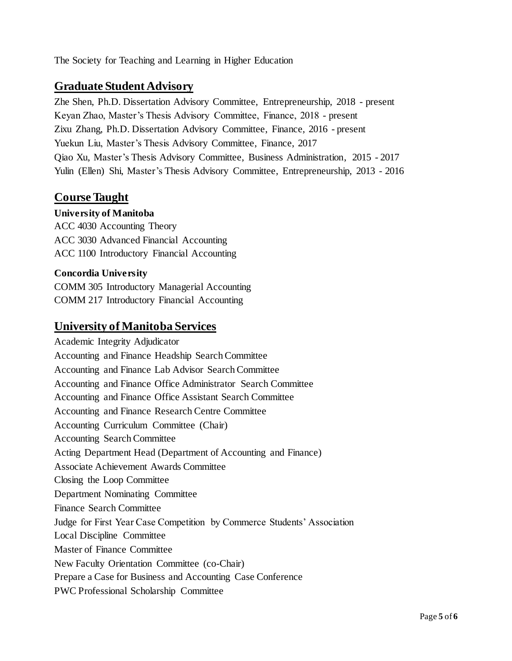The Society for Teaching and Learning in Higher Education

## **Graduate Student Advisory**

Zhe Shen, Ph.D. Dissertation Advisory Committee, Entrepreneurship, 2018 - present Keyan Zhao, Master's Thesis Advisory Committee, Finance, 2018 - present Zixu Zhang, Ph.D. Dissertation Advisory Committee, Finance, 2016 - present Yuekun Liu, Master's Thesis Advisory Committee, Finance, 2017 Qiao Xu, Master's Thesis Advisory Committee, Business Administration, 2015 - 2017 Yulin (Ellen) Shi, Master's Thesis Advisory Committee, Entrepreneurship, 2013 - 2016

## **Course Taught**

#### **University of Manitoba**

ACC 4030 Accounting Theory ACC 3030 Advanced Financial Accounting ACC 1100 Introductory Financial Accounting

#### **Concordia University**

COMM 305 Introductory Managerial Accounting COMM 217 Introductory Financial Accounting

#### **University of Manitoba Services**

Academic Integrity Adjudicator Accounting and Finance Headship Search Committee Accounting and Finance Lab Advisor Search Committee Accounting and Finance Office Administrator Search Committee Accounting and Finance Office Assistant Search Committee Accounting and Finance Research Centre Committee Accounting Curriculum Committee (Chair) Accounting Search Committee Acting Department Head (Department of Accounting and Finance) Associate Achievement Awards Committee Closing the Loop Committee Department Nominating Committee Finance Search Committee Judge for First Year Case Competition by Commerce Students' Association Local Discipline Committee Master of Finance Committee New Faculty Orientation Committee (co-Chair) Prepare a Case for Business and Accounting Case Conference PWC Professional Scholarship Committee